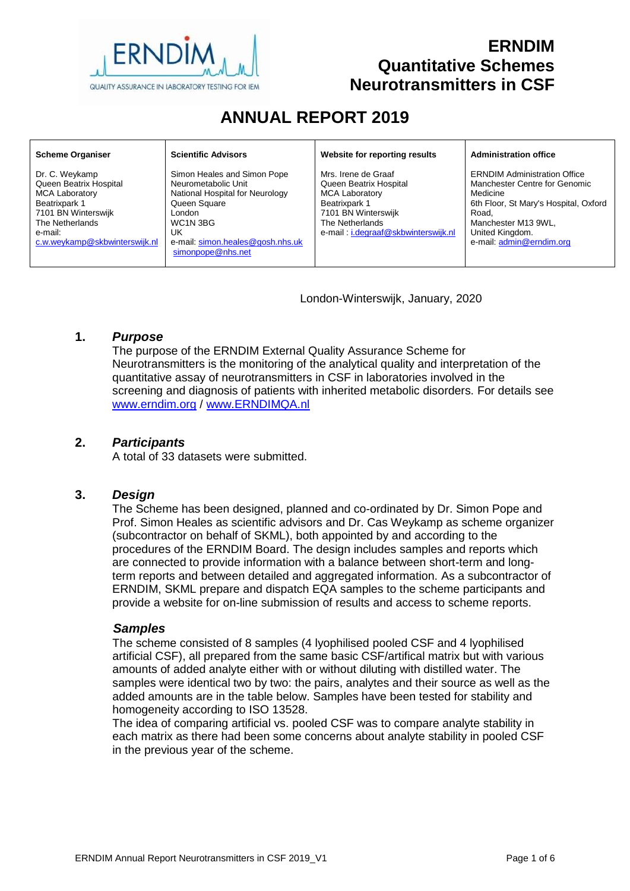

# **ERNDIM Quantitative Schemes Neurotransmitters in CSF**

# **ANNUAL REPORT 2019**

| <b>Scheme Organiser</b>                                                                                                                                                  | <b>Scientific Advisors</b>                                                                                                                                                                 | Website for reporting results                                                                                                                                            | <b>Administration office</b>                                                                                                                                                                             |
|--------------------------------------------------------------------------------------------------------------------------------------------------------------------------|--------------------------------------------------------------------------------------------------------------------------------------------------------------------------------------------|--------------------------------------------------------------------------------------------------------------------------------------------------------------------------|----------------------------------------------------------------------------------------------------------------------------------------------------------------------------------------------------------|
| Dr. C. Weykamp<br>Queen Beatrix Hospital<br><b>MCA Laboratory</b><br>Beatrixpark 1<br>7101 BN Winterswijk<br>The Netherlands<br>e-mail:<br>c.w.weykamp@skbwinterswijk.nl | Simon Heales and Simon Pope<br>Neurometabolic Unit<br>National Hospital for Neurology<br>Queen Square<br>London<br>WC1N 3BG<br>UK<br>e-mail: simon.heales@gosh.nhs.uk<br>simonpope@nhs.net | Mrs. Irene de Graaf<br>Queen Beatrix Hospital<br><b>MCA Laboratory</b><br>Beatrixpark 1<br>7101 BN Winterswijk<br>The Netherlands<br>e-mail: i.degraaf@skbwinterswijk.nl | <b>ERNDIM Administration Office</b><br>Manchester Centre for Genomic<br>Medicine<br>6th Floor, St Mary's Hospital, Oxford<br>Road.<br>Manchester M13 9WL,<br>United Kingdom.<br>e-mail: admin@erndim.org |

London-Winterswijk, January, 2020

#### **1.** *Purpose*

The purpose of the ERNDIM External Quality Assurance Scheme for Neurotransmitters is the monitoring of the analytical quality and interpretation of the quantitative assay of neurotransmitters in CSF in laboratories involved in the screening and diagnosis of patients with inherited metabolic disorders. For details see [www.erndim.o](http://www.erndim.unibas.ch/)rg / [www.ERNDIMQA.nl](http://www.erndimqa.nl/)

#### **2.** *Participants*

A total of 33 datasets were submitted.

#### **3.** *Design*

The Scheme has been designed, planned and co-ordinated by Dr. Simon Pope and Prof. Simon Heales as scientific advisors and Dr. Cas Weykamp as scheme organizer (subcontractor on behalf of SKML), both appointed by and according to the procedures of the ERNDIM Board. The design includes samples and reports which are connected to provide information with a balance between short-term and longterm reports and between detailed and aggregated information. As a subcontractor of ERNDIM, SKML prepare and dispatch EQA samples to the scheme participants and provide a website for on-line submission of results and access to scheme reports.

#### *Samples*

The scheme consisted of 8 samples (4 lyophilised pooled CSF and 4 lyophilised artificial CSF), all prepared from the same basic CSF/artifical matrix but with various amounts of added analyte either with or without diluting with distilled water. The samples were identical two by two: the pairs, analytes and their source as well as the added amounts are in the table below. Samples have been tested for stability and homogeneity according to ISO 13528.

The idea of comparing artificial vs. pooled CSF was to compare analyte stability in each matrix as there had been some concerns about analyte stability in pooled CSF in the previous year of the scheme.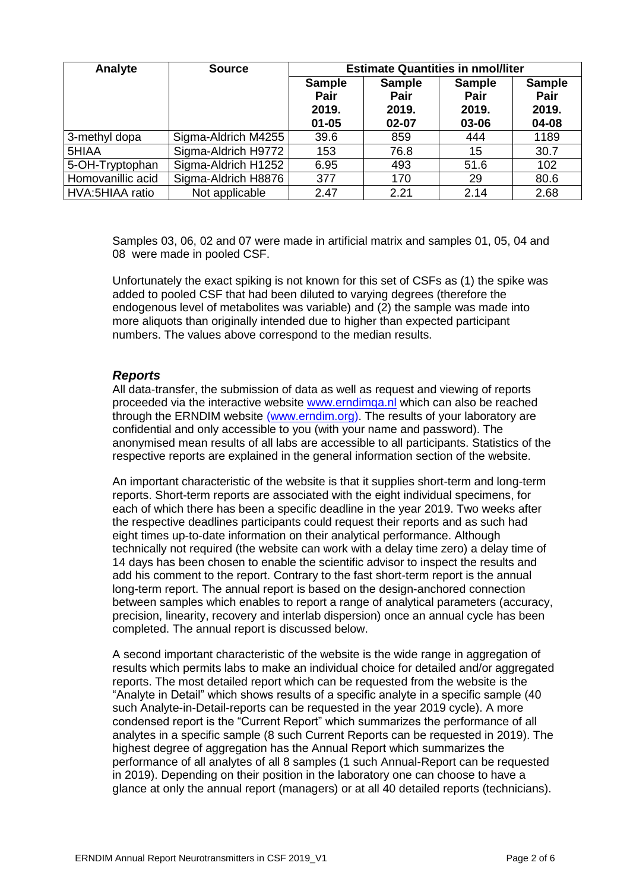| Analyte           | <b>Source</b>       | <b>Estimate Quantities in nmol/liter</b>    |                                         |                                         |                                         |
|-------------------|---------------------|---------------------------------------------|-----------------------------------------|-----------------------------------------|-----------------------------------------|
|                   |                     | <b>Sample</b><br>Pair<br>2019.<br>$01 - 05$ | <b>Sample</b><br>Pair<br>2019.<br>02-07 | <b>Sample</b><br>Pair<br>2019.<br>03-06 | <b>Sample</b><br>Pair<br>2019.<br>04-08 |
| 3-methyl dopa     | Sigma-Aldrich M4255 | 39.6                                        | 859                                     | 444                                     | 1189                                    |
| 5HIAA             | Sigma-Aldrich H9772 | 153                                         | 76.8                                    | 15                                      | 30.7                                    |
| 5-OH-Tryptophan   | Sigma-Aldrich H1252 | 6.95                                        | 493                                     | 51.6                                    | 102                                     |
| Homovanillic acid | Sigma-Aldrich H8876 | 377                                         | 170                                     | 29                                      | 80.6                                    |
| HVA:5HIAA ratio   | Not applicable      | 2.47                                        | 2.21                                    | 2.14                                    | 2.68                                    |

Samples 03, 06, 02 and 07 were made in artificial matrix and samples 01, 05, 04 and 08 were made in pooled CSF.

Unfortunately the exact spiking is not known for this set of CSFs as (1) the spike was added to pooled CSF that had been diluted to varying degrees (therefore the endogenous level of metabolites was variable) and (2) the sample was made into more aliquots than originally intended due to higher than expected participant numbers. The values above correspond to the median results.

#### *Reports*

All data-transfer, the submission of data as well as request and viewing of reports proceeded via the interactive website [www.erndimqa.nl](http://www.erndimqa.nl/) which can also be reached through the ERNDIM website [\(www.erndim.org\)](http://www.erndim.org/). The results of your laboratory are confidential and only accessible to you (with your name and password). The anonymised mean results of all labs are accessible to all participants. Statistics of the respective reports are explained in the general information section of the website.

An important characteristic of the website is that it supplies short-term and long-term reports. Short-term reports are associated with the eight individual specimens, for each of which there has been a specific deadline in the year 2019. Two weeks after the respective deadlines participants could request their reports and as such had eight times up-to-date information on their analytical performance. Although technically not required (the website can work with a delay time zero) a delay time of 14 days has been chosen to enable the scientific advisor to inspect the results and add his comment to the report. Contrary to the fast short-term report is the annual long-term report. The annual report is based on the design-anchored connection between samples which enables to report a range of analytical parameters (accuracy, precision, linearity, recovery and interlab dispersion) once an annual cycle has been completed. The annual report is discussed below.

A second important characteristic of the website is the wide range in aggregation of results which permits labs to make an individual choice for detailed and/or aggregated reports. The most detailed report which can be requested from the website is the "Analyte in Detail" which shows results of a specific analyte in a specific sample (40 such Analyte-in-Detail-reports can be requested in the year 2019 cycle). A more condensed report is the "Current Report" which summarizes the performance of all analytes in a specific sample (8 such Current Reports can be requested in 2019). The highest degree of aggregation has the Annual Report which summarizes the performance of all analytes of all 8 samples (1 such Annual-Report can be requested in 2019). Depending on their position in the laboratory one can choose to have a glance at only the annual report (managers) or at all 40 detailed reports (technicians).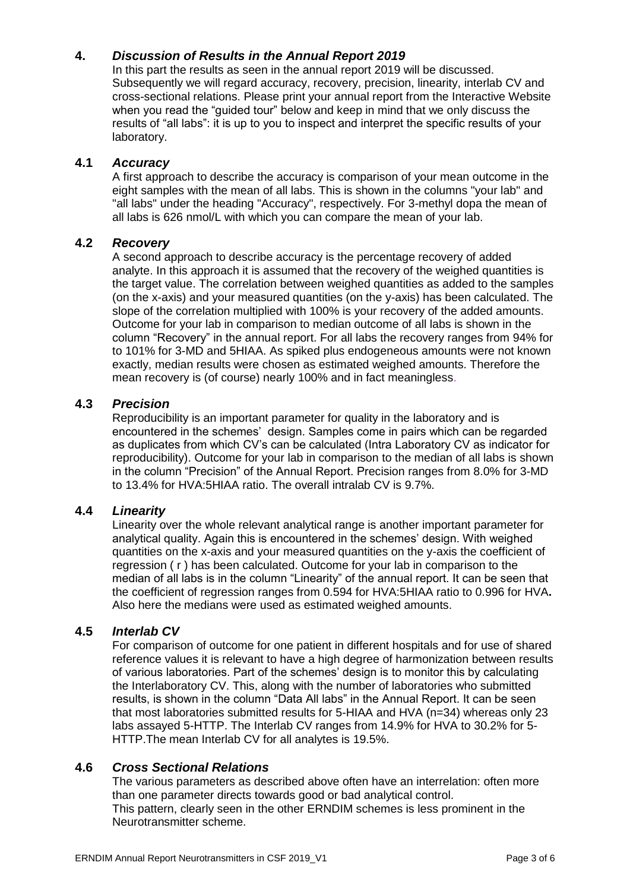# **4.** *Discussion of Results in the Annual Report 2019*

In this part the results as seen in the annual report 2019 will be discussed. Subsequently we will regard accuracy, recovery, precision, linearity, interlab CV and cross-sectional relations. Please print your annual report from the Interactive Website when you read the "guided tour" below and keep in mind that we only discuss the results of "all labs": it is up to you to inspect and interpret the specific results of your laboratory.

# **4.1** *Accuracy*

A first approach to describe the accuracy is comparison of your mean outcome in the eight samples with the mean of all labs. This is shown in the columns "your lab" and "all labs" under the heading "Accuracy", respectively. For 3-methyl dopa the mean of all labs is 626 nmol/L with which you can compare the mean of your lab.

# **4.2** *Recovery*

A second approach to describe accuracy is the percentage recovery of added analyte. In this approach it is assumed that the recovery of the weighed quantities is the target value. The correlation between weighed quantities as added to the samples (on the x-axis) and your measured quantities (on the y-axis) has been calculated. The slope of the correlation multiplied with 100% is your recovery of the added amounts. Outcome for your lab in comparison to median outcome of all labs is shown in the column "Recovery" in the annual report. For all labs the recovery ranges from 94% for to 101% for 3-MD and 5HIAA. As spiked plus endogeneous amounts were not known exactly, median results were chosen as estimated weighed amounts. Therefore the mean recovery is (of course) nearly 100% and in fact meaningless.

# **4.3** *Precision*

Reproducibility is an important parameter for quality in the laboratory and is encountered in the schemes' design. Samples come in pairs which can be regarded as duplicates from which CV's can be calculated (Intra Laboratory CV as indicator for reproducibility). Outcome for your lab in comparison to the median of all labs is shown in the column "Precision" of the Annual Report. Precision ranges from 8.0% for 3-MD to 13.4% for HVA:5HIAA ratio. The overall intralab CV is 9.7%.

# **4.4** *Linearity*

Linearity over the whole relevant analytical range is another important parameter for analytical quality. Again this is encountered in the schemes' design. With weighed quantities on the x-axis and your measured quantities on the y-axis the coefficient of regression ( r ) has been calculated. Outcome for your lab in comparison to the median of all labs is in the column "Linearity" of the annual report. It can be seen that the coefficient of regression ranges from 0.594 for HVA:5HIAA ratio to 0.996 for HVA**.**  Also here the medians were used as estimated weighed amounts.

# **4.5** *Interlab CV*

For comparison of outcome for one patient in different hospitals and for use of shared reference values it is relevant to have a high degree of harmonization between results of various laboratories. Part of the schemes' design is to monitor this by calculating the Interlaboratory CV. This, along with the number of laboratories who submitted results, is shown in the column "Data All labs" in the Annual Report. It can be seen that most laboratories submitted results for 5-HIAA and HVA (n=34) whereas only 23 labs assayed 5-HTTP. The Interlab CV ranges from 14.9% for HVA to 30.2% for 5- HTTP.The mean Interlab CV for all analytes is 19.5%.

# **4.6** *Cross Sectional Relations*

The various parameters as described above often have an interrelation: often more than one parameter directs towards good or bad analytical control. This pattern, clearly seen in the other ERNDIM schemes is less prominent in the Neurotransmitter scheme.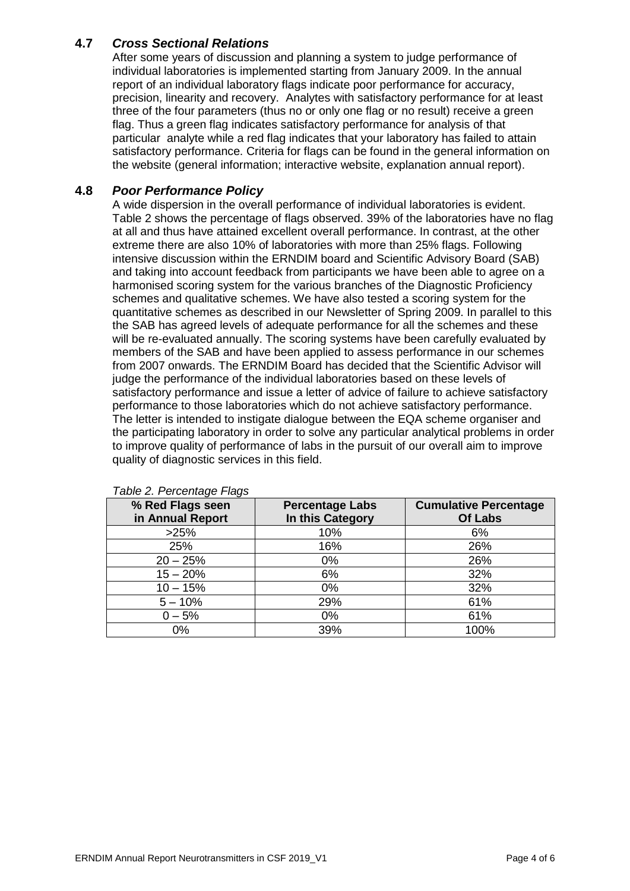# **4.7** *Cross Sectional Relations*

After some years of discussion and planning a system to judge performance of individual laboratories is implemented starting from January 2009. In the annual report of an individual laboratory flags indicate poor performance for accuracy, precision, linearity and recovery. Analytes with satisfactory performance for at least three of the four parameters (thus no or only one flag or no result) receive a green flag. Thus a green flag indicates satisfactory performance for analysis of that particular analyte while a red flag indicates that your laboratory has failed to attain satisfactory performance. Criteria for flags can be found in the general information on the website (general information; interactive website, explanation annual report).

#### **4.8** *Poor Performance Policy*

A wide dispersion in the overall performance of individual laboratories is evident. Table 2 shows the percentage of flags observed. 39% of the laboratories have no flag at all and thus have attained excellent overall performance. In contrast, at the other extreme there are also 10% of laboratories with more than 25% flags. Following intensive discussion within the ERNDIM board and Scientific Advisory Board (SAB) and taking into account feedback from participants we have been able to agree on a harmonised scoring system for the various branches of the Diagnostic Proficiency schemes and qualitative schemes. We have also tested a scoring system for the quantitative schemes as described in our Newsletter of Spring 2009. In parallel to this the SAB has agreed levels of adequate performance for all the schemes and these will be re-evaluated annually. The scoring systems have been carefully evaluated by members of the SAB and have been applied to assess performance in our schemes from 2007 onwards. The ERNDIM Board has decided that the Scientific Advisor will iudge the performance of the individual laboratories based on these levels of satisfactory performance and issue a letter of advice of failure to achieve satisfactory performance to those laboratories which do not achieve satisfactory performance. The letter is intended to instigate dialogue between the EQA scheme organiser and the participating laboratory in order to solve any particular analytical problems in order to improve quality of performance of labs in the pursuit of our overall aim to improve quality of diagnostic services in this field.

| % Red Flags seen<br>in Annual Report | <b>Percentage Labs</b><br>In this Category | <b>Cumulative Percentage</b><br><b>Of Labs</b> |
|--------------------------------------|--------------------------------------------|------------------------------------------------|
| >25%                                 | 10%                                        | 6%                                             |
| 25%                                  | 16%                                        | 26%                                            |
| $20 - 25%$                           | $0\%$                                      | 26%                                            |
| $15 - 20%$                           | 6%                                         | 32%                                            |
| $10 - 15%$                           | $0\%$                                      | 32%                                            |
| $5 - 10%$                            | 29%                                        | 61%                                            |
| $0 - 5%$                             | $0\%$                                      | 61%                                            |
| $0\%$                                | 39%                                        | 100%                                           |

#### *Table 2. Percentage Flags*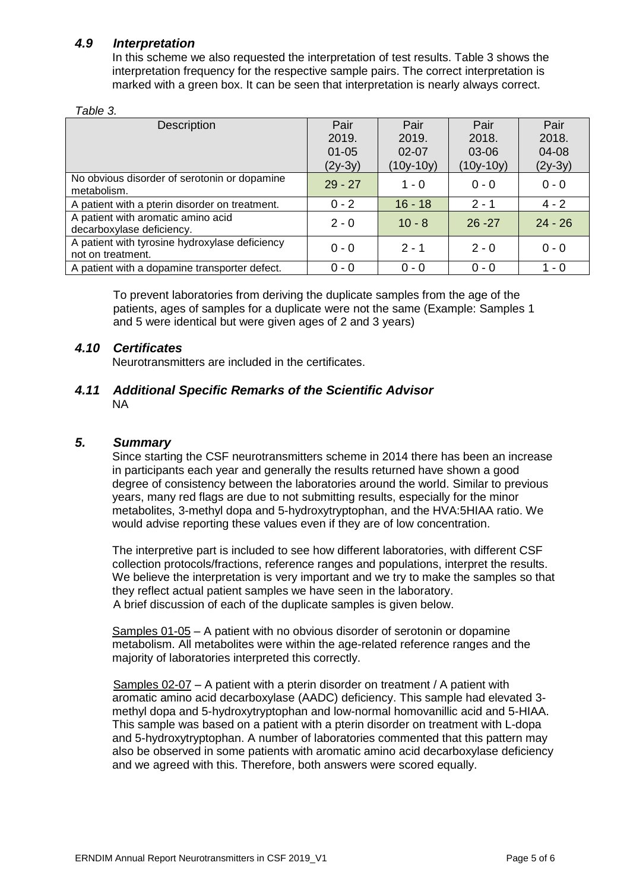# *4.9 Interpretation*

In this scheme we also requested the interpretation of test results. Table 3 shows the interpretation frequency for the respective sample pairs. The correct interpretation is marked with a green box. It can be seen that interpretation is nearly always correct.

#### *Table 3.*

| Description                                                         | Pair      | Pair        | Pair        | Pair      |
|---------------------------------------------------------------------|-----------|-------------|-------------|-----------|
|                                                                     | 2019.     | 2019.       | 2018.       | 2018.     |
|                                                                     | $01 - 05$ | $02 - 07$   | 03-06       | 04-08     |
|                                                                     | $(2y-3y)$ | $(10y-10y)$ | $(10y-10y)$ | $(2y-3y)$ |
| No obvious disorder of serotonin or dopamine<br>metabolism.         | $29 - 27$ | $1 - 0$     | $0 - 0$     | $0 - 0$   |
| A patient with a pterin disorder on treatment.                      | $0 - 2$   | $16 - 18$   | $2 - 1$     | $4 - 2$   |
| A patient with aromatic amino acid<br>decarboxylase deficiency.     | $2 - 0$   | $10 - 8$    | $26 - 27$   | $24 - 26$ |
| A patient with tyrosine hydroxylase deficiency<br>not on treatment. | $0 - 0$   | $2 - 1$     | $2 - 0$     | $0 - 0$   |
| A patient with a dopamine transporter defect.                       | $0 - 0$   | $0 - 0$     | $0 - 0$     | - 0       |

To prevent laboratories from deriving the duplicate samples from the age of the patients, ages of samples for a duplicate were not the same (Example: Samples 1 and 5 were identical but were given ages of 2 and 3 years)

# *4.10 Certificates*

Neurotransmitters are included in the certificates.

#### *4.11 Additional Specific Remarks of the Scientific Advisor* NA

#### *5. Summary*

Since starting the CSF neurotransmitters scheme in 2014 there has been an increase in participants each year and generally the results returned have shown a good degree of consistency between the laboratories around the world. Similar to previous years, many red flags are due to not submitting results, especially for the minor metabolites, 3-methyl dopa and 5-hydroxytryptophan, and the HVA:5HIAA ratio. We would advise reporting these values even if they are of low concentration.

The interpretive part is included to see how different laboratories, with different CSF collection protocols/fractions, reference ranges and populations, interpret the results. We believe the interpretation is very important and we try to make the samples so that they reflect actual patient samples we have seen in the laboratory. A brief discussion of each of the duplicate samples is given below.

Samples 01-05 – A patient with no obvious disorder of serotonin or dopamine metabolism. All metabolites were within the age-related reference ranges and the majority of laboratories interpreted this correctly.

Samples 02-07 – A patient with a pterin disorder on treatment / A patient with aromatic amino acid decarboxylase (AADC) deficiency. This sample had elevated 3 methyl dopa and 5-hydroxytryptophan and low-normal homovanillic acid and 5-HIAA. This sample was based on a patient with a pterin disorder on treatment with L-dopa and 5-hydroxytryptophan. A number of laboratories commented that this pattern may also be observed in some patients with aromatic amino acid decarboxylase deficiency and we agreed with this. Therefore, both answers were scored equally.